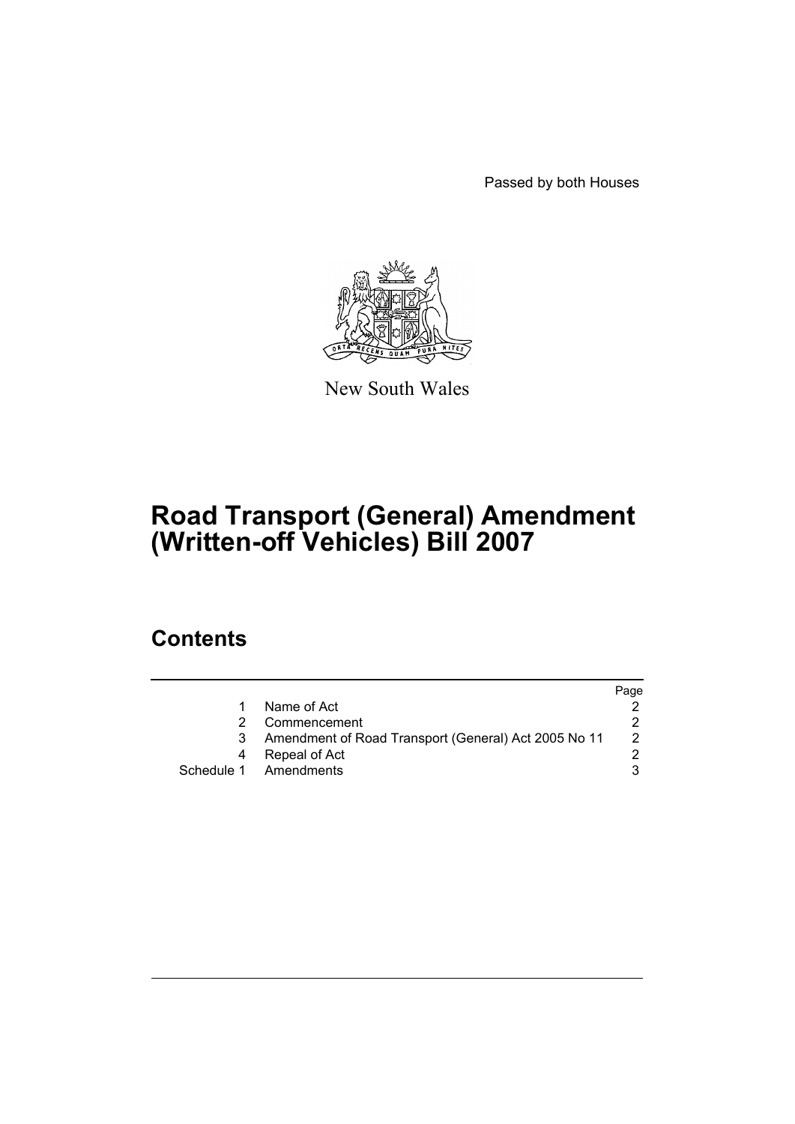Passed by both Houses



New South Wales

# **Road Transport (General) Amendment (Written-off Vehicles) Bill 2007**

# **Contents**

|   |                                                      | Page          |
|---|------------------------------------------------------|---------------|
| 1 | Name of Act                                          |               |
|   | Commencement                                         |               |
| 3 | Amendment of Road Transport (General) Act 2005 No 11 | $\mathcal{P}$ |
| 4 | Repeal of Act                                        |               |
|   | Schedule 1 Amendments                                |               |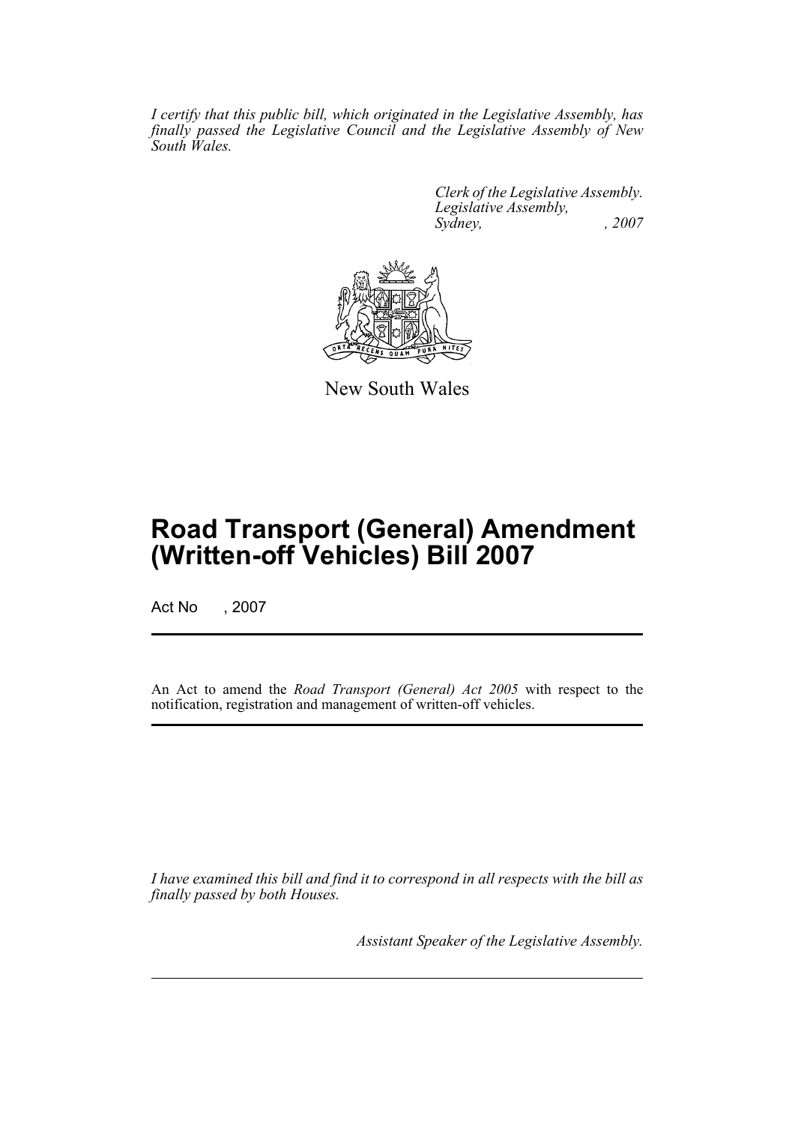*I certify that this public bill, which originated in the Legislative Assembly, has finally passed the Legislative Council and the Legislative Assembly of New South Wales.*

> *Clerk of the Legislative Assembly. Legislative Assembly, Sydney, , 2007*



New South Wales

# **Road Transport (General) Amendment (Written-off Vehicles) Bill 2007**

Act No , 2007

An Act to amend the *Road Transport (General) Act 2005* with respect to the notification, registration and management of written-off vehicles.

*I have examined this bill and find it to correspond in all respects with the bill as finally passed by both Houses.*

*Assistant Speaker of the Legislative Assembly.*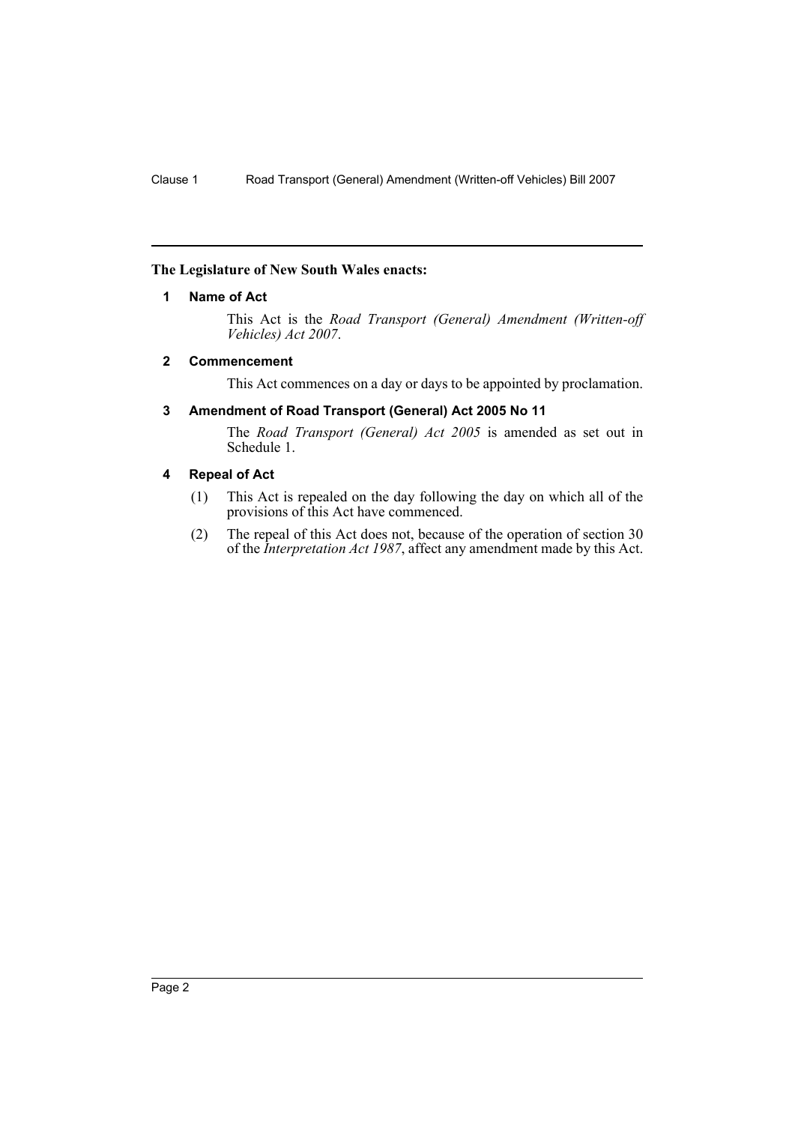## <span id="page-2-0"></span>**The Legislature of New South Wales enacts:**

### **1 Name of Act**

This Act is the *Road Transport (General) Amendment (Written-off Vehicles) Act 2007*.

## <span id="page-2-1"></span>**2 Commencement**

This Act commences on a day or days to be appointed by proclamation.

## <span id="page-2-2"></span>**3 Amendment of Road Transport (General) Act 2005 No 11**

The *Road Transport (General) Act 2005* is amended as set out in Schedule 1.

## <span id="page-2-3"></span>**4 Repeal of Act**

- (1) This Act is repealed on the day following the day on which all of the provisions of this Act have commenced.
- (2) The repeal of this Act does not, because of the operation of section 30 of the *Interpretation Act 1987*, affect any amendment made by this Act.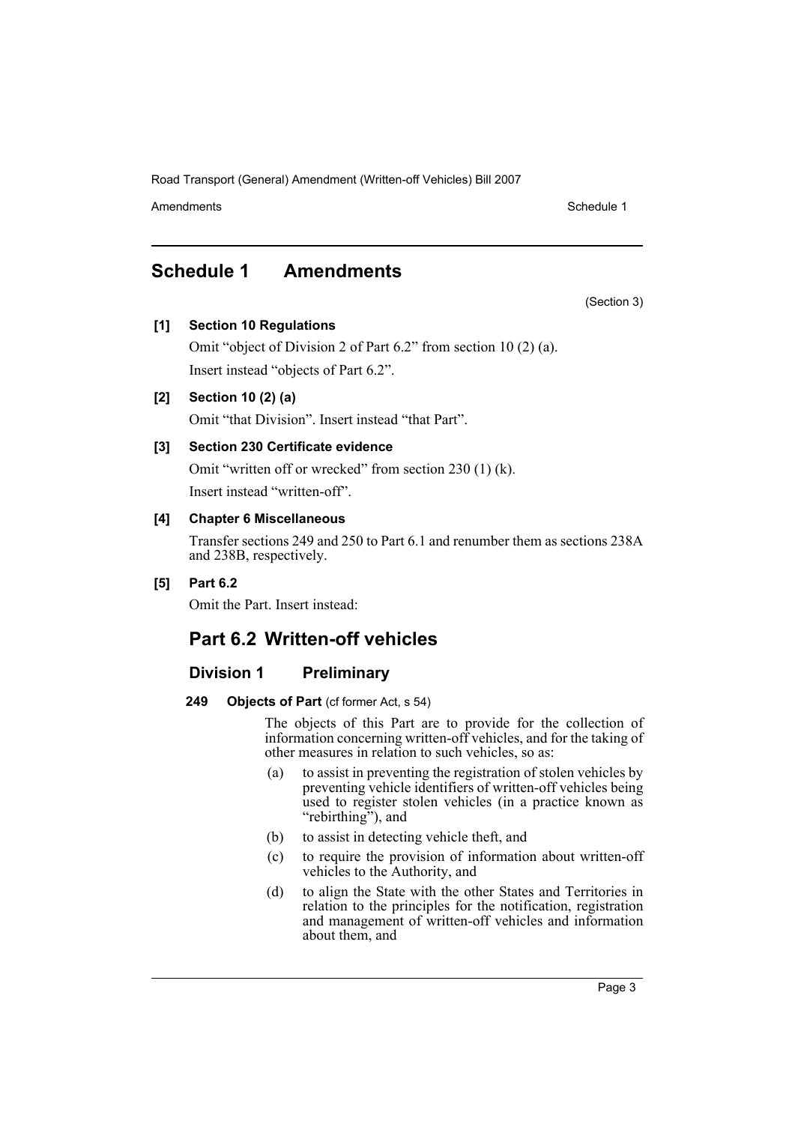Amendments **Amendments** Schedule 1

(Section 3)

# <span id="page-3-0"></span>**Schedule 1 Amendments**

# **[1] Section 10 Regulations**

Omit "object of Division 2 of Part 6.2" from section 10 (2) (a). Insert instead "objects of Part 6.2".

# **[2] Section 10 (2) (a)**

Omit "that Division". Insert instead "that Part".

# **[3] Section 230 Certificate evidence**

Omit "written off or wrecked" from section 230 (1) (k). Insert instead "written-off".

# **[4] Chapter 6 Miscellaneous**

Transfer sections 249 and 250 to Part 6.1 and renumber them as sections 238A and 238B, respectively.

# **[5] Part 6.2**

Omit the Part. Insert instead:

# **Part 6.2 Written-off vehicles**

# **Division 1 Preliminary**

# 249 **Objects of Part** (cf former Act, s 54)

The objects of this Part are to provide for the collection of information concerning written-off vehicles, and for the taking of other measures in relation to such vehicles, so as:

- (a) to assist in preventing the registration of stolen vehicles by preventing vehicle identifiers of written-off vehicles being used to register stolen vehicles (in a practice known as "rebirthing"), and
- (b) to assist in detecting vehicle theft, and
- (c) to require the provision of information about written-off vehicles to the Authority, and
- (d) to align the State with the other States and Territories in relation to the principles for the notification, registration and management of written-off vehicles and information about them, and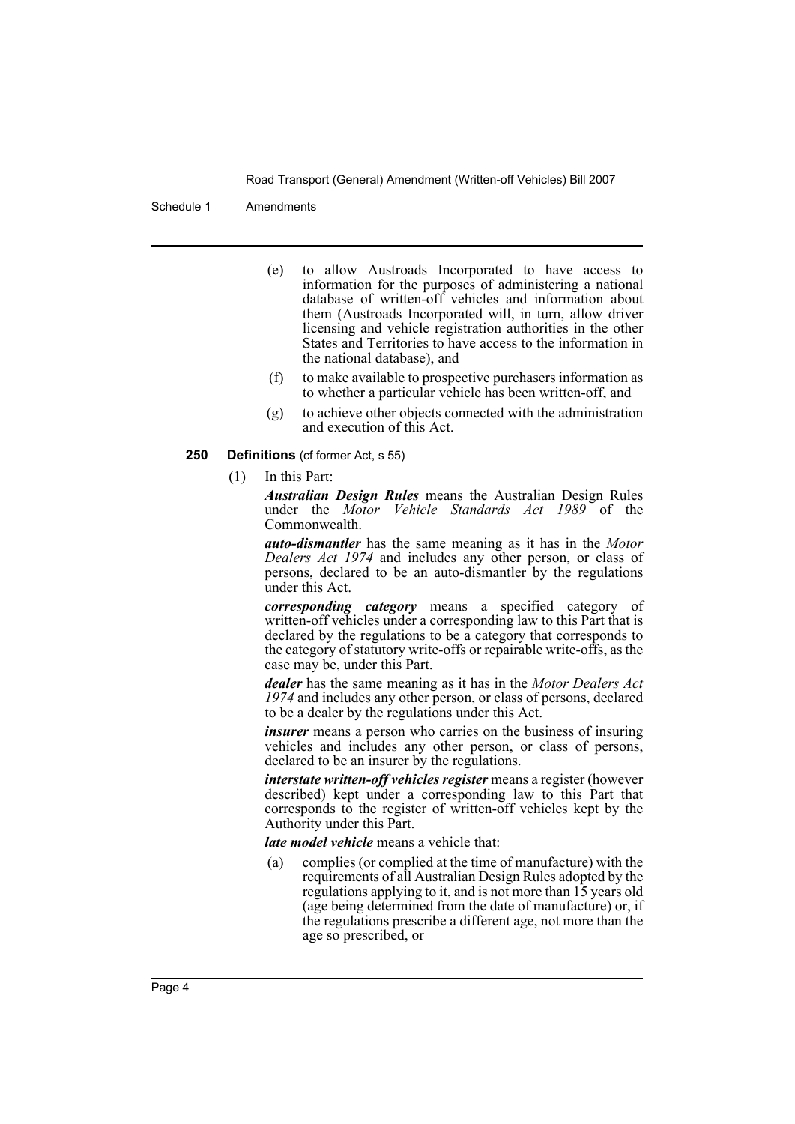#### Schedule 1 Amendments

- (e) to allow Austroads Incorporated to have access to information for the purposes of administering a national database of written-off vehicles and information about them (Austroads Incorporated will, in turn, allow driver licensing and vehicle registration authorities in the other States and Territories to have access to the information in the national database), and
- (f) to make available to prospective purchasers information as to whether a particular vehicle has been written-off, and
- (g) to achieve other objects connected with the administration and execution of this Act.

#### **250 Definitions** (cf former Act, s 55)

(1) In this Part:

*Australian Design Rules* means the Australian Design Rules under the *Motor Vehicle Standards Act 1989* of the Commonwealth.

*auto-dismantler* has the same meaning as it has in the *Motor Dealers Act 1974* and includes any other person, or class of persons, declared to be an auto-dismantler by the regulations under this Act.

*corresponding category* means a specified category of written-off vehicles under a corresponding law to this Part that is declared by the regulations to be a category that corresponds to the category of statutory write-offs or repairable write-offs, as the case may be, under this Part.

*dealer* has the same meaning as it has in the *Motor Dealers Act 1974* and includes any other person, or class of persons, declared to be a dealer by the regulations under this Act.

*insurer* means a person who carries on the business of insuring vehicles and includes any other person, or class of persons, declared to be an insurer by the regulations.

*interstate written-off vehicles register* means a register (however described) kept under a corresponding law to this Part that corresponds to the register of written-off vehicles kept by the Authority under this Part.

*late model vehicle* means a vehicle that:

(a) complies (or complied at the time of manufacture) with the requirements of all Australian Design Rules adopted by the regulations applying to it, and is not more than 15 years old (age being determined from the date of manufacture) or, if the regulations prescribe a different age, not more than the age so prescribed, or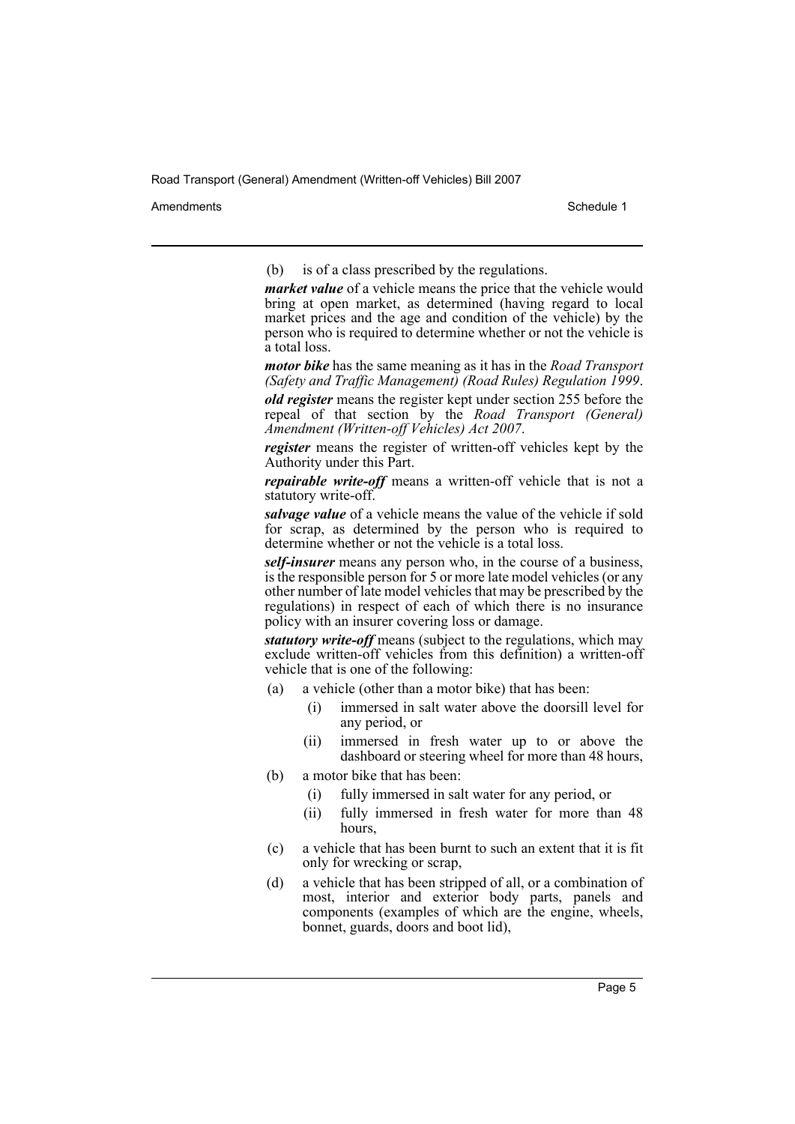Amendments **Amendments** Schedule 1

(b) is of a class prescribed by the regulations.

*market value* of a vehicle means the price that the vehicle would bring at open market, as determined (having regard to local market prices and the age and condition of the vehicle) by the person who is required to determine whether or not the vehicle is a total loss.

*motor bike* has the same meaning as it has in the *Road Transport (Safety and Traffic Management) (Road Rules) Regulation 1999*.

*old register* means the register kept under section 255 before the repeal of that section by the *Road Transport (General) Amendment (Written-off Vehicles) Act 2007*.

*register* means the register of written-off vehicles kept by the Authority under this Part.

*repairable write-off* means a written-off vehicle that is not a statutory write-off.

*salvage value* of a vehicle means the value of the vehicle if sold for scrap, as determined by the person who is required to determine whether or not the vehicle is a total loss.

*self-insurer* means any person who, in the course of a business, is the responsible person for 5 or more late model vehicles (or any other number of late model vehicles that may be prescribed by the regulations) in respect of each of which there is no insurance policy with an insurer covering loss or damage.

*statutory write-off* means (subject to the regulations, which may exclude written-off vehicles from this definition) a written-off vehicle that is one of the following:

- (a) a vehicle (other than a motor bike) that has been:
	- (i) immersed in salt water above the doorsill level for any period, or
	- (ii) immersed in fresh water up to or above the dashboard or steering wheel for more than 48 hours,
- (b) a motor bike that has been:
	- (i) fully immersed in salt water for any period, or
	- (ii) fully immersed in fresh water for more than 48 hours
- (c) a vehicle that has been burnt to such an extent that it is fit only for wrecking or scrap,
- (d) a vehicle that has been stripped of all, or a combination of most, interior and exterior body parts, panels and components (examples of which are the engine, wheels, bonnet, guards, doors and boot lid),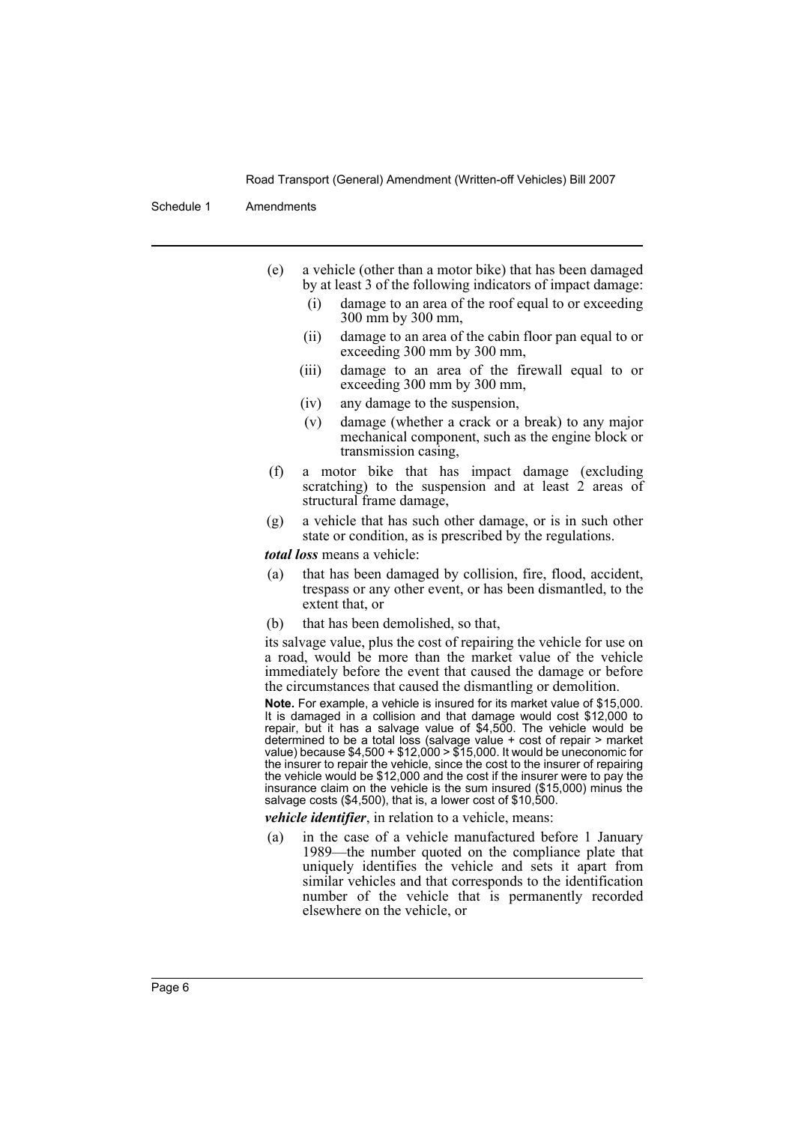Schedule 1 Amendments

- (e) a vehicle (other than a motor bike) that has been damaged by at least 3 of the following indicators of impact damage:
	- (i) damage to an area of the roof equal to or exceeding 300 mm by 300 mm,
	- (ii) damage to an area of the cabin floor pan equal to or exceeding 300 mm by 300 mm,
	- (iii) damage to an area of the firewall equal to or exceeding 300 mm by 300 mm,
	- (iv) any damage to the suspension,
	- (v) damage (whether a crack or a break) to any major mechanical component, such as the engine block or transmission casing,
- (f) a motor bike that has impact damage (excluding scratching) to the suspension and at least 2 areas of structural frame damage,
- (g) a vehicle that has such other damage, or is in such other state or condition, as is prescribed by the regulations.

*total loss* means a vehicle:

- (a) that has been damaged by collision, fire, flood, accident, trespass or any other event, or has been dismantled, to the extent that, or
- (b) that has been demolished, so that,

its salvage value, plus the cost of repairing the vehicle for use on a road, would be more than the market value of the vehicle immediately before the event that caused the damage or before the circumstances that caused the dismantling or demolition.

**Note.** For example, a vehicle is insured for its market value of \$15,000. It is damaged in a collision and that damage would cost \$12,000 to repair, but it has a salvage value of \$4,500. The vehicle would be determined to be a total loss (salvage value + cost of repair > market value) because \$4,500 + \$12,000 > \$15,000. It would be uneconomic for the insurer to repair the vehicle, since the cost to the insurer of repairing the vehicle would be \$12,000 and the cost if the insurer were to pay the insurance claim on the vehicle is the sum insured (\$15,000) minus the salvage costs (\$4,500), that is, a lower cost of \$10,500.

*vehicle identifier*, in relation to a vehicle, means:

(a) in the case of a vehicle manufactured before 1 January 1989—the number quoted on the compliance plate that uniquely identifies the vehicle and sets it apart from similar vehicles and that corresponds to the identification number of the vehicle that is permanently recorded elsewhere on the vehicle, or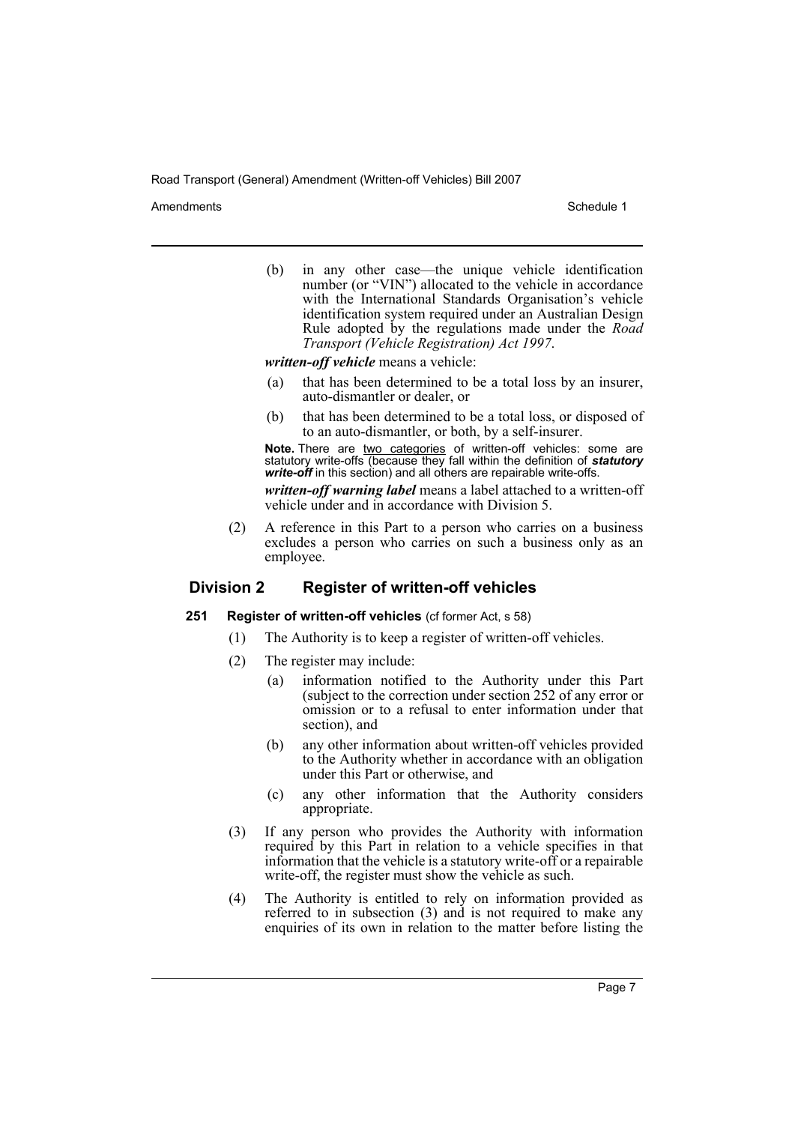Amendments **Amendments** Schedule 1

(b) in any other case—the unique vehicle identification number (or "VIN") allocated to the vehicle in accordance with the International Standards Organisation's vehicle identification system required under an Australian Design Rule adopted by the regulations made under the *Road Transport (Vehicle Registration) Act 1997*.

*written-off vehicle* means a vehicle:

- (a) that has been determined to be a total loss by an insurer, auto-dismantler or dealer, or
- (b) that has been determined to be a total loss, or disposed of to an auto-dismantler, or both, by a self-insurer.

**Note.** There are two categories of written-off vehicles: some are statutory write-offs (because they fall within the definition of *statutory write-off* in this section) and all others are repairable write-offs.

*written-off warning label* means a label attached to a written-off vehicle under and in accordance with Division 5.

(2) A reference in this Part to a person who carries on a business excludes a person who carries on such a business only as an employee.

# **Division 2 Register of written-off vehicles**

#### **251 Register of written-off vehicles** (cf former Act, s 58)

- (1) The Authority is to keep a register of written-off vehicles.
- (2) The register may include:
	- (a) information notified to the Authority under this Part (subject to the correction under section 252 of any error or omission or to a refusal to enter information under that section), and
	- (b) any other information about written-off vehicles provided to the Authority whether in accordance with an obligation under this Part or otherwise, and
	- (c) any other information that the Authority considers appropriate.
- (3) If any person who provides the Authority with information required by this Part in relation to a vehicle specifies in that information that the vehicle is a statutory write-off or a repairable write-off, the register must show the vehicle as such.
- (4) The Authority is entitled to rely on information provided as referred to in subsection (3) and is not required to make any enquiries of its own in relation to the matter before listing the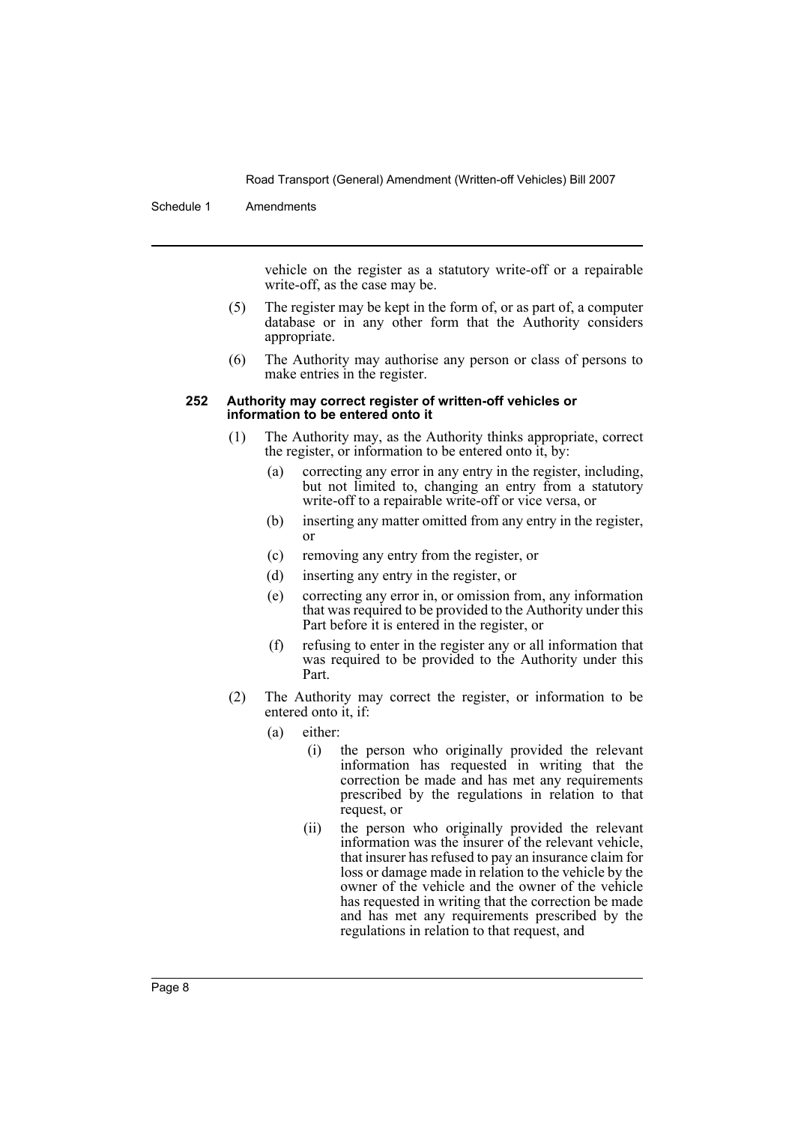Schedule 1 Amendments

vehicle on the register as a statutory write-off or a repairable write-off, as the case may be.

- (5) The register may be kept in the form of, or as part of, a computer database or in any other form that the Authority considers appropriate.
- (6) The Authority may authorise any person or class of persons to make entries in the register.

#### **252 Authority may correct register of written-off vehicles or information to be entered onto it**

- (1) The Authority may, as the Authority thinks appropriate, correct the register, or information to be entered onto it, by:
	- (a) correcting any error in any entry in the register, including, but not limited to, changing an entry from a statutory write-off to a repairable write-off or vice versa, or
	- (b) inserting any matter omitted from any entry in the register, or
	- (c) removing any entry from the register, or
	- (d) inserting any entry in the register, or
	- (e) correcting any error in, or omission from, any information that was required to be provided to the Authority under this Part before it is entered in the register, or
	- (f) refusing to enter in the register any or all information that was required to be provided to the Authority under this Part.
- (2) The Authority may correct the register, or information to be entered onto it, if:
	- (a) either:
		- (i) the person who originally provided the relevant information has requested in writing that the correction be made and has met any requirements prescribed by the regulations in relation to that request, or
		- (ii) the person who originally provided the relevant information was the insurer of the relevant vehicle, that insurer has refused to pay an insurance claim for loss or damage made in relation to the vehicle by the owner of the vehicle and the owner of the vehicle has requested in writing that the correction be made and has met any requirements prescribed by the regulations in relation to that request, and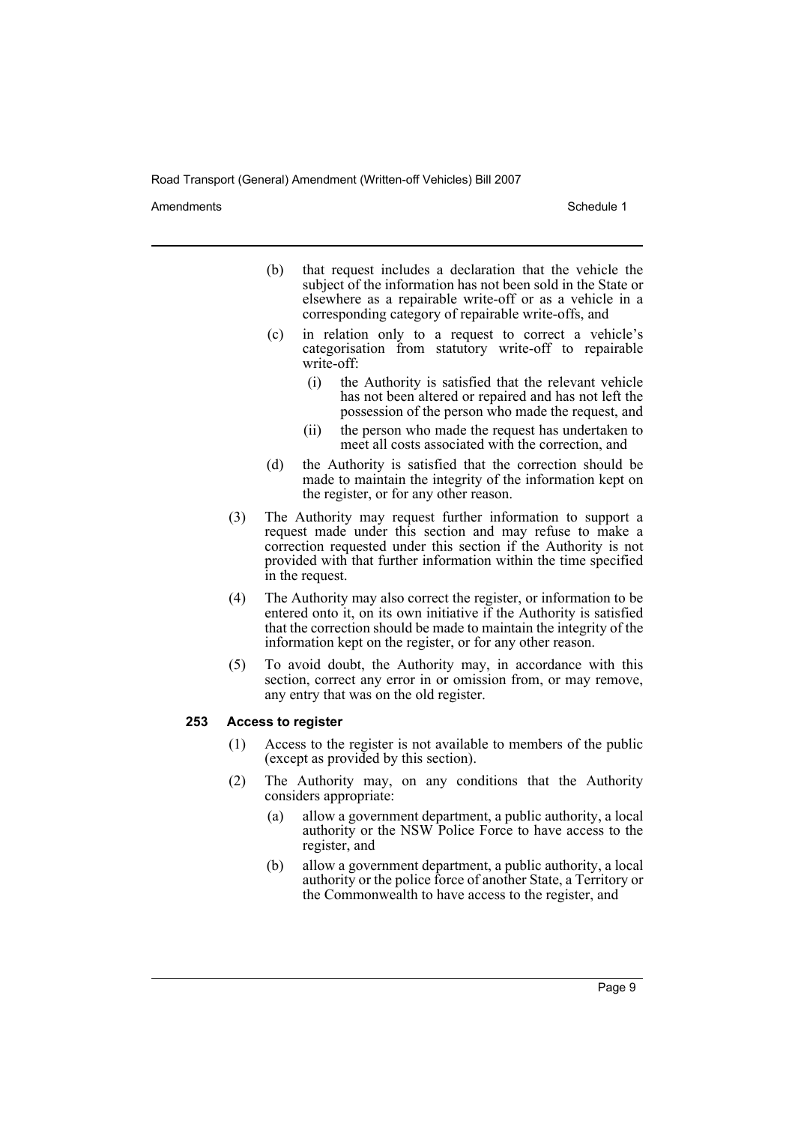Amendments **Amendments** Schedule 1

- (b) that request includes a declaration that the vehicle the subject of the information has not been sold in the State or elsewhere as a repairable write-off or as a vehicle in a corresponding category of repairable write-offs, and
- (c) in relation only to a request to correct a vehicle's categorisation from statutory write-off to repairable write-off:
	- (i) the Authority is satisfied that the relevant vehicle has not been altered or repaired and has not left the possession of the person who made the request, and
	- (ii) the person who made the request has undertaken to meet all costs associated with the correction, and
- (d) the Authority is satisfied that the correction should be made to maintain the integrity of the information kept on the register, or for any other reason.
- (3) The Authority may request further information to support a request made under this section and may refuse to make a correction requested under this section if the Authority is not provided with that further information within the time specified in the request.
- (4) The Authority may also correct the register, or information to be entered onto it, on its own initiative if the Authority is satisfied that the correction should be made to maintain the integrity of the information kept on the register, or for any other reason.
- (5) To avoid doubt, the Authority may, in accordance with this section, correct any error in or omission from, or may remove, any entry that was on the old register.

# **253 Access to register**

- (1) Access to the register is not available to members of the public (except as provided by this section).
- (2) The Authority may, on any conditions that the Authority considers appropriate:
	- (a) allow a government department, a public authority, a local authority or the NSW Police Force to have access to the register, and
	- (b) allow a government department, a public authority, a local authority or the police force of another State, a Territory or the Commonwealth to have access to the register, and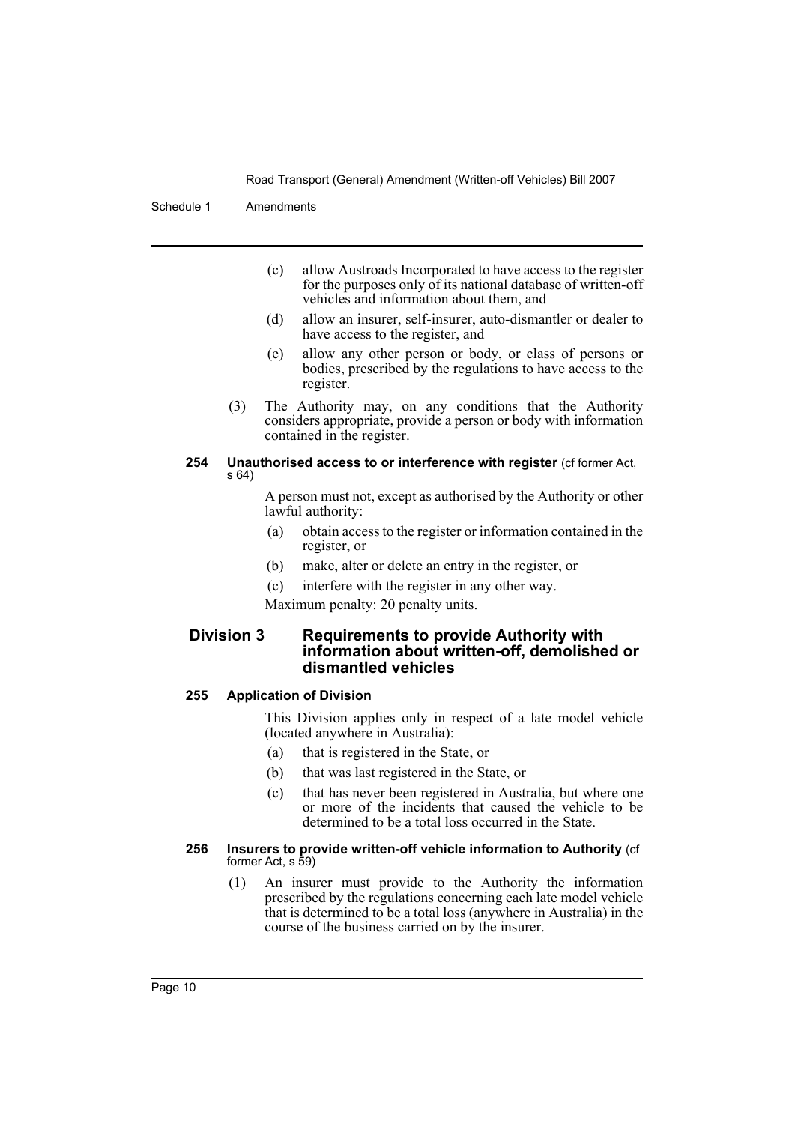Schedule 1 Amendments

- (c) allow Austroads Incorporated to have access to the register for the purposes only of its national database of written-off vehicles and information about them, and
- (d) allow an insurer, self-insurer, auto-dismantler or dealer to have access to the register, and
- (e) allow any other person or body, or class of persons or bodies, prescribed by the regulations to have access to the register.
- (3) The Authority may, on any conditions that the Authority considers appropriate, provide a person or body with information contained in the register.

#### **254 Unauthorised access to or interference with register** (cf former Act, s 64)

A person must not, except as authorised by the Authority or other lawful authority:

- (a) obtain access to the register or information contained in the register, or
- (b) make, alter or delete an entry in the register, or
- (c) interfere with the register in any other way.

Maximum penalty: 20 penalty units.

# **Division 3 Requirements to provide Authority with information about written-off, demolished or dismantled vehicles**

# **255 Application of Division**

This Division applies only in respect of a late model vehicle (located anywhere in Australia):

- (a) that is registered in the State, or
- (b) that was last registered in the State, or
- (c) that has never been registered in Australia, but where one or more of the incidents that caused the vehicle to be determined to be a total loss occurred in the State.

#### **256 Insurers to provide written-off vehicle information to Authority** (cf former Act, s 59)

(1) An insurer must provide to the Authority the information prescribed by the regulations concerning each late model vehicle that is determined to be a total loss (anywhere in Australia) in the course of the business carried on by the insurer.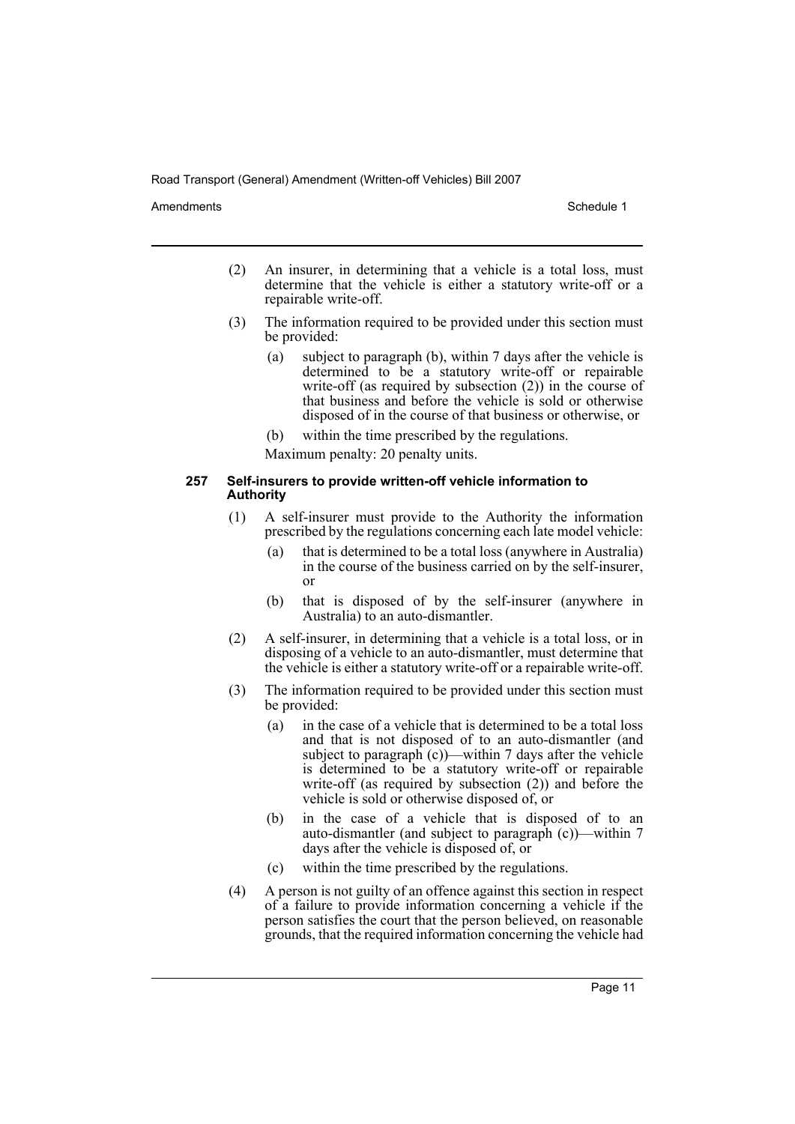Amendments **Amendments** Schedule 1

- (2) An insurer, in determining that a vehicle is a total loss, must determine that the vehicle is either a statutory write-off or a repairable write-off.
- (3) The information required to be provided under this section must be provided:
	- (a) subject to paragraph (b), within 7 days after the vehicle is determined to be a statutory write-off or repairable write-off (as required by subsection (2)) in the course of that business and before the vehicle is sold or otherwise disposed of in the course of that business or otherwise, or
	- (b) within the time prescribed by the regulations.

Maximum penalty: 20 penalty units.

#### **257 Self-insurers to provide written-off vehicle information to Authority**

- (1) A self-insurer must provide to the Authority the information prescribed by the regulations concerning each late model vehicle:
	- (a) that is determined to be a total loss (anywhere in Australia) in the course of the business carried on by the self-insurer, or
	- (b) that is disposed of by the self-insurer (anywhere in Australia) to an auto-dismantler.
- (2) A self-insurer, in determining that a vehicle is a total loss, or in disposing of a vehicle to an auto-dismantler, must determine that the vehicle is either a statutory write-off or a repairable write-off.
- (3) The information required to be provided under this section must be provided:
	- (a) in the case of a vehicle that is determined to be a total loss and that is not disposed of to an auto-dismantler (and subject to paragraph  $(c)$ —within 7 days after the vehicle is determined to be a statutory write-off or repairable write-off (as required by subsection (2)) and before the vehicle is sold or otherwise disposed of, or
	- (b) in the case of a vehicle that is disposed of to an auto-dismantler (and subject to paragraph (c))—within 7 days after the vehicle is disposed of, or
	- (c) within the time prescribed by the regulations.
- (4) A person is not guilty of an offence against this section in respect of a failure to provide information concerning a vehicle if the person satisfies the court that the person believed, on reasonable grounds, that the required information concerning the vehicle had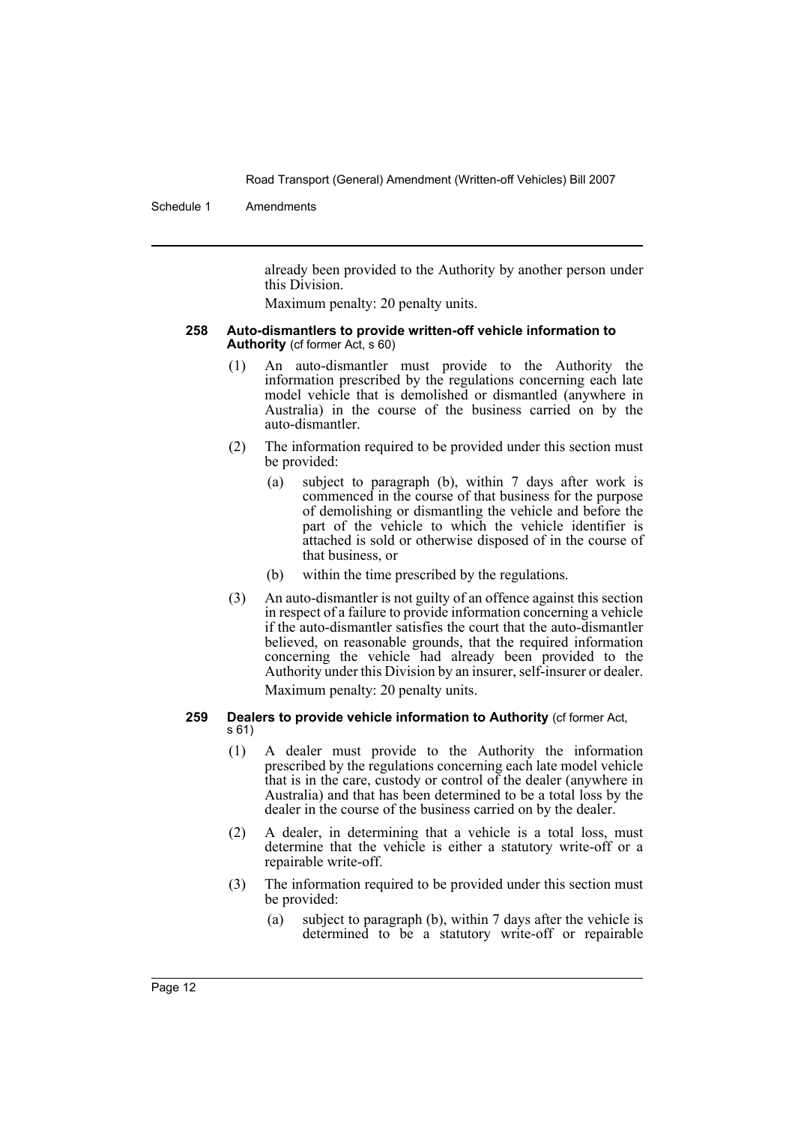Schedule 1 Amendments

already been provided to the Authority by another person under this Division.

Maximum penalty: 20 penalty units.

#### **258 Auto-dismantlers to provide written-off vehicle information to Authority** (cf former Act, s 60)

- (1) An auto-dismantler must provide to the Authority the information prescribed by the regulations concerning each late model vehicle that is demolished or dismantled (anywhere in Australia) in the course of the business carried on by the auto-dismantler.
- (2) The information required to be provided under this section must be provided:
	- (a) subject to paragraph (b), within 7 days after work is commenced in the course of that business for the purpose of demolishing or dismantling the vehicle and before the part of the vehicle to which the vehicle identifier is attached is sold or otherwise disposed of in the course of that business, or
	- (b) within the time prescribed by the regulations.
- (3) An auto-dismantler is not guilty of an offence against this section in respect of a failure to provide information concerning a vehicle if the auto-dismantler satisfies the court that the auto-dismantler believed, on reasonable grounds, that the required information concerning the vehicle had already been provided to the Authority under this Division by an insurer, self-insurer or dealer. Maximum penalty: 20 penalty units.

#### **259 Dealers to provide vehicle information to Authority** (cf former Act, s 61)

- (1) A dealer must provide to the Authority the information prescribed by the regulations concerning each late model vehicle that is in the care, custody or control of the dealer (anywhere in Australia) and that has been determined to be a total loss by the dealer in the course of the business carried on by the dealer.
- (2) A dealer, in determining that a vehicle is a total loss, must determine that the vehicle is either a statutory write-off or a repairable write-off.
- (3) The information required to be provided under this section must be provided:
	- (a) subject to paragraph (b), within 7 days after the vehicle is determined to be a statutory write-off or repairable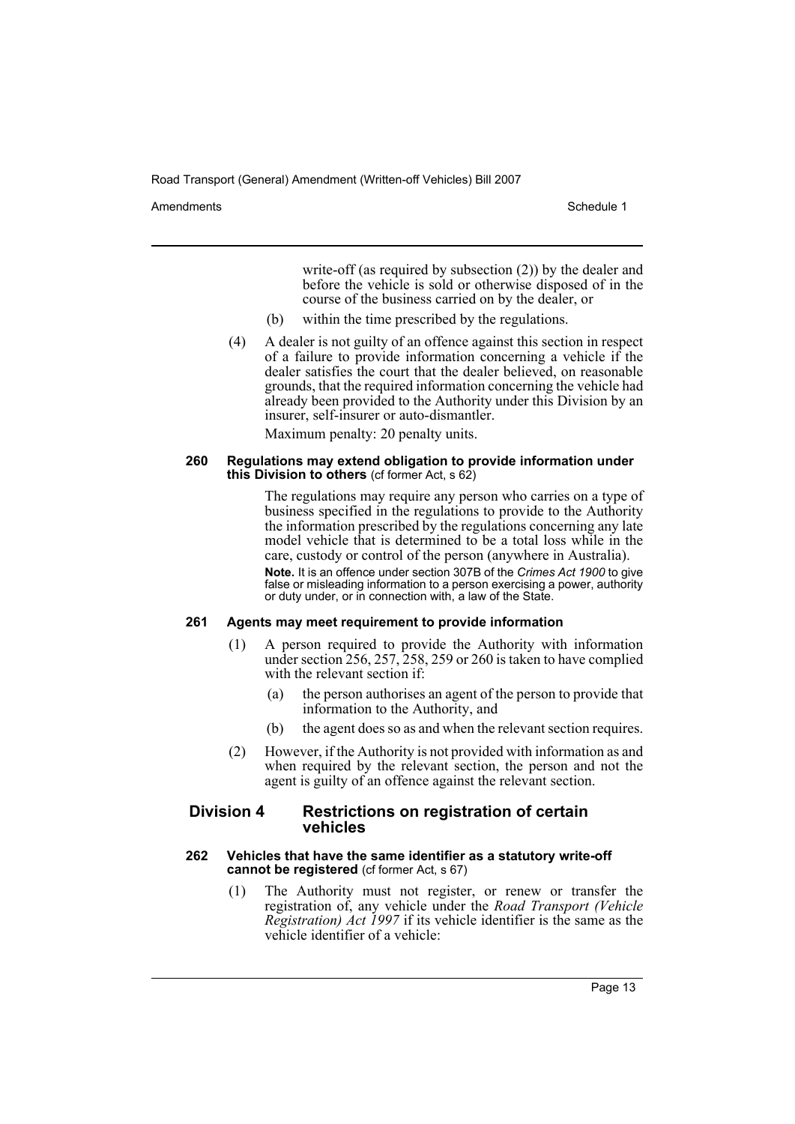Amendments **Amendments** Schedule 1

write-off (as required by subsection (2)) by the dealer and before the vehicle is sold or otherwise disposed of in the course of the business carried on by the dealer, or

- (b) within the time prescribed by the regulations.
- (4) A dealer is not guilty of an offence against this section in respect of a failure to provide information concerning a vehicle if the dealer satisfies the court that the dealer believed, on reasonable grounds, that the required information concerning the vehicle had already been provided to the Authority under this Division by an insurer, self-insurer or auto-dismantler.

Maximum penalty: 20 penalty units.

#### **260 Regulations may extend obligation to provide information under this Division to others** (cf former Act, s 62)

The regulations may require any person who carries on a type of business specified in the regulations to provide to the Authority the information prescribed by the regulations concerning any late model vehicle that is determined to be a total loss while in the care, custody or control of the person (anywhere in Australia).

**Note.** It is an offence under section 307B of the *Crimes Act 1900* to give false or misleading information to a person exercising a power, authority or duty under, or in connection with, a law of the State.

# **261 Agents may meet requirement to provide information**

- (1) A person required to provide the Authority with information under section 256, 257, 258, 259 or 260 is taken to have complied with the relevant section if:
	- (a) the person authorises an agent of the person to provide that information to the Authority, and
	- (b) the agent does so as and when the relevant section requires.
- (2) However, if the Authority is not provided with information as and when required by the relevant section, the person and not the agent is guilty of an offence against the relevant section.

### **Division 4 Restrictions on registration of certain vehicles**

#### **262 Vehicles that have the same identifier as a statutory write-off cannot be registered** (cf former Act, s 67)

(1) The Authority must not register, or renew or transfer the registration of, any vehicle under the *Road Transport (Vehicle Registration) Act 1997* if its vehicle identifier is the same as the vehicle identifier of a vehicle: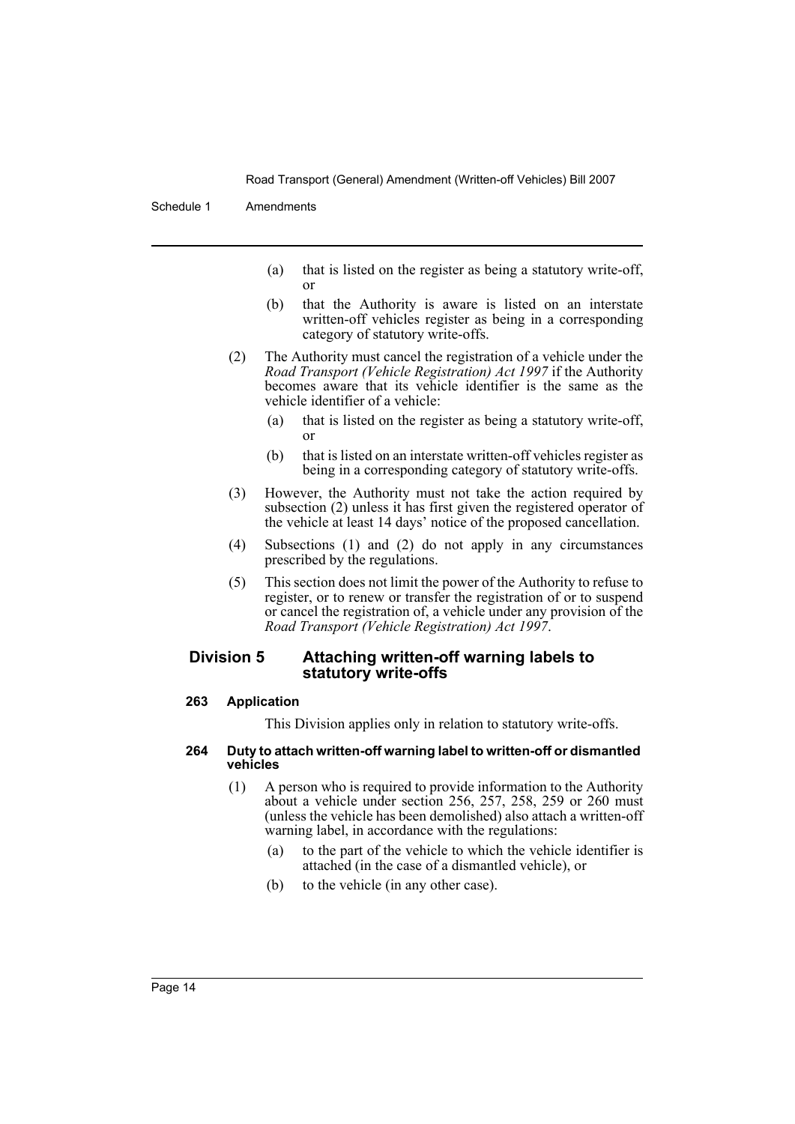Schedule 1 Amendments

- (a) that is listed on the register as being a statutory write-off, or
- (b) that the Authority is aware is listed on an interstate written-off vehicles register as being in a corresponding category of statutory write-offs.
- (2) The Authority must cancel the registration of a vehicle under the *Road Transport (Vehicle Registration) Act 1997* if the Authority becomes aware that its vehicle identifier is the same as the vehicle identifier of a vehicle:
	- (a) that is listed on the register as being a statutory write-off, or
	- (b) that is listed on an interstate written-off vehicles register as being in a corresponding category of statutory write-offs.
- (3) However, the Authority must not take the action required by subsection (2) unless it has first given the registered operator of the vehicle at least 14 days' notice of the proposed cancellation.
- (4) Subsections (1) and (2) do not apply in any circumstances prescribed by the regulations.
- (5) This section does not limit the power of the Authority to refuse to register, or to renew or transfer the registration of or to suspend or cancel the registration of, a vehicle under any provision of the *Road Transport (Vehicle Registration) Act 1997*.

# **Division 5 Attaching written-off warning labels to statutory write-offs**

# **263 Application**

This Division applies only in relation to statutory write-offs.

#### **264 Duty to attach written-off warning label to written-off or dismantled vehicles**

- (1) A person who is required to provide information to the Authority about a vehicle under section 256, 257, 258, 259 or 260 must (unless the vehicle has been demolished) also attach a written-off warning label, in accordance with the regulations:
	- (a) to the part of the vehicle to which the vehicle identifier is attached (in the case of a dismantled vehicle), or
	- (b) to the vehicle (in any other case).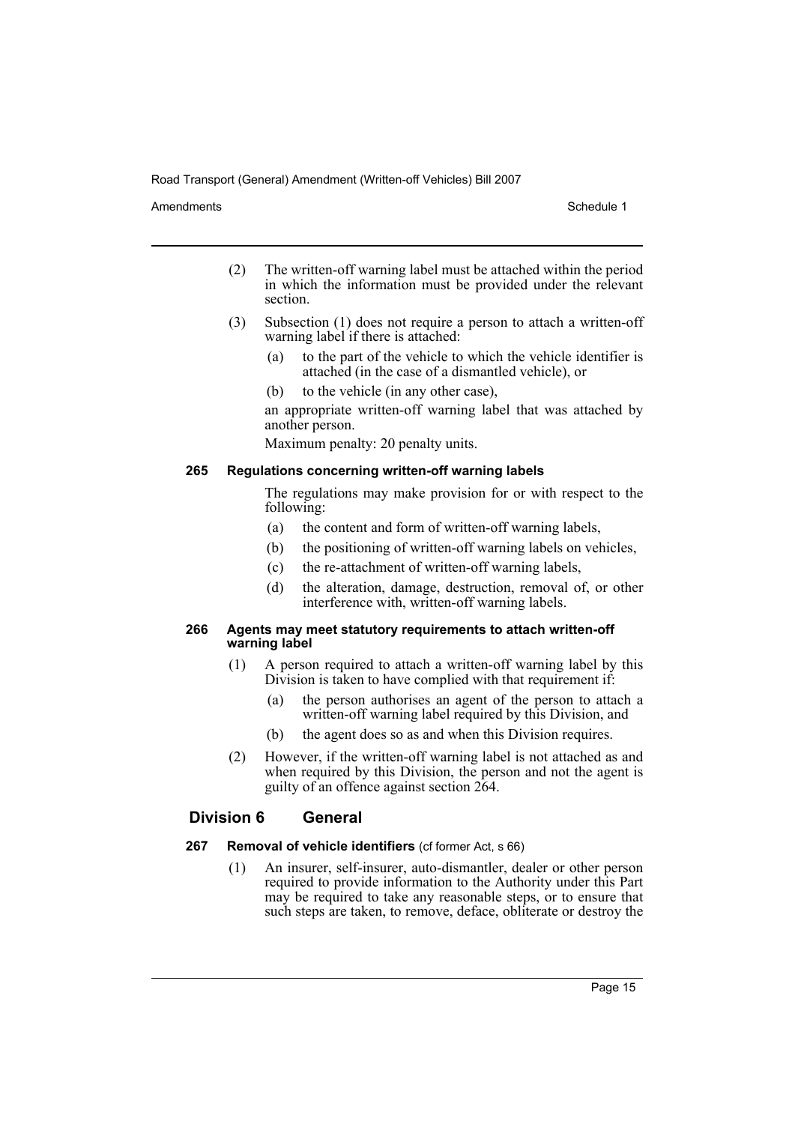Amendments **Amendments** Schedule 1

- (2) The written-off warning label must be attached within the period in which the information must be provided under the relevant section.
- (3) Subsection (1) does not require a person to attach a written-off warning label if there is attached:
	- (a) to the part of the vehicle to which the vehicle identifier is attached (in the case of a dismantled vehicle), or
	- (b) to the vehicle (in any other case),

an appropriate written-off warning label that was attached by another person.

Maximum penalty: 20 penalty units.

# **265 Regulations concerning written-off warning labels**

The regulations may make provision for or with respect to the following:

- (a) the content and form of written-off warning labels,
- (b) the positioning of written-off warning labels on vehicles,
- (c) the re-attachment of written-off warning labels,
- (d) the alteration, damage, destruction, removal of, or other interference with, written-off warning labels.

#### **266 Agents may meet statutory requirements to attach written-off warning label**

- (1) A person required to attach a written-off warning label by this Division is taken to have complied with that requirement if:
	- (a) the person authorises an agent of the person to attach a written-off warning label required by this Division, and
	- (b) the agent does so as and when this Division requires.
- (2) However, if the written-off warning label is not attached as and when required by this Division, the person and not the agent is guilty of an offence against section 264.

# **Division 6 General**

# **267 Removal of vehicle identifiers** (cf former Act, s 66)

(1) An insurer, self-insurer, auto-dismantler, dealer or other person required to provide information to the Authority under this Part may be required to take any reasonable steps, or to ensure that such steps are taken, to remove, deface, obliterate or destroy the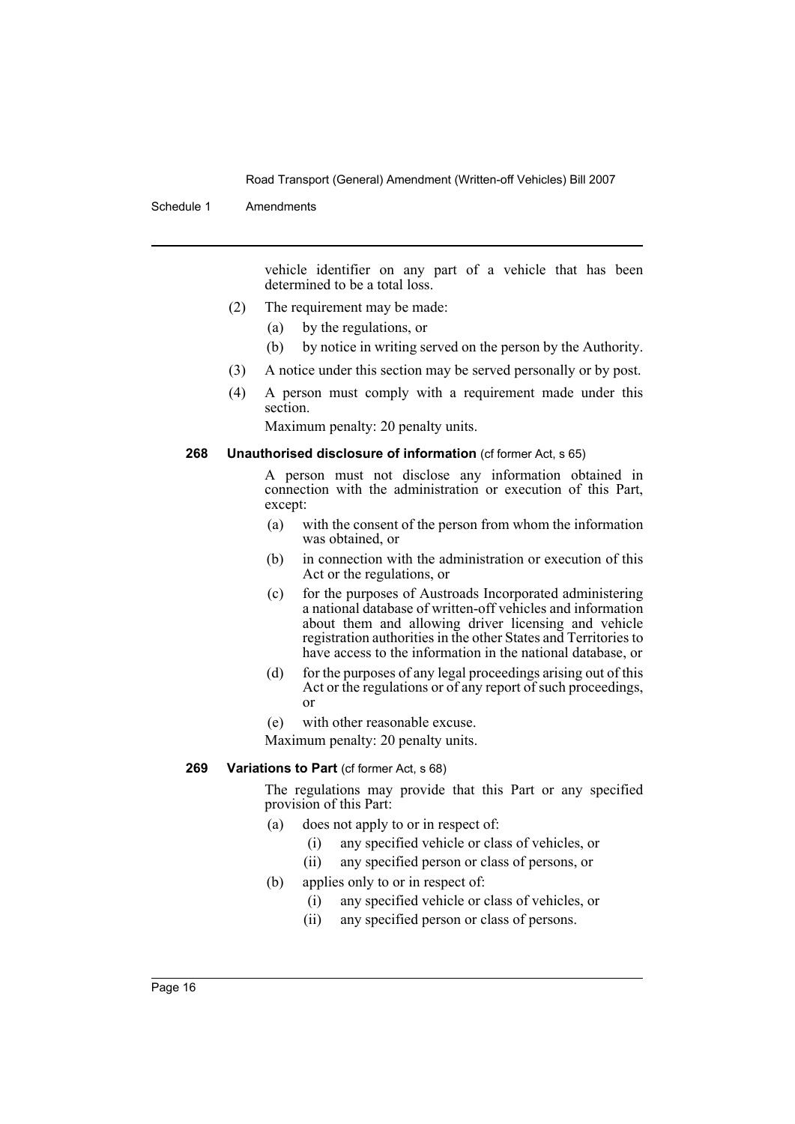Schedule 1 Amendments

vehicle identifier on any part of a vehicle that has been determined to be a total loss.

- (2) The requirement may be made:
	- (a) by the regulations, or
	- (b) by notice in writing served on the person by the Authority.
- (3) A notice under this section may be served personally or by post.
- (4) A person must comply with a requirement made under this section.

Maximum penalty: 20 penalty units.

#### **268 Unauthorised disclosure of information** (cf former Act, s 65)

A person must not disclose any information obtained in connection with the administration or execution of this Part, except:

- (a) with the consent of the person from whom the information was obtained, or
- (b) in connection with the administration or execution of this Act or the regulations, or
- (c) for the purposes of Austroads Incorporated administering a national database of written-off vehicles and information about them and allowing driver licensing and vehicle registration authorities in the other States and Territories to have access to the information in the national database, or
- (d) for the purposes of any legal proceedings arising out of this Act or the regulations or of any report of such proceedings, or
- (e) with other reasonable excuse.

Maximum penalty: 20 penalty units.

#### **269 Variations to Part** (cf former Act, s 68)

The regulations may provide that this Part or any specified provision of this Part:

- (a) does not apply to or in respect of:
	- (i) any specified vehicle or class of vehicles, or
	- (ii) any specified person or class of persons, or
- (b) applies only to or in respect of:
	- (i) any specified vehicle or class of vehicles, or
	- (ii) any specified person or class of persons.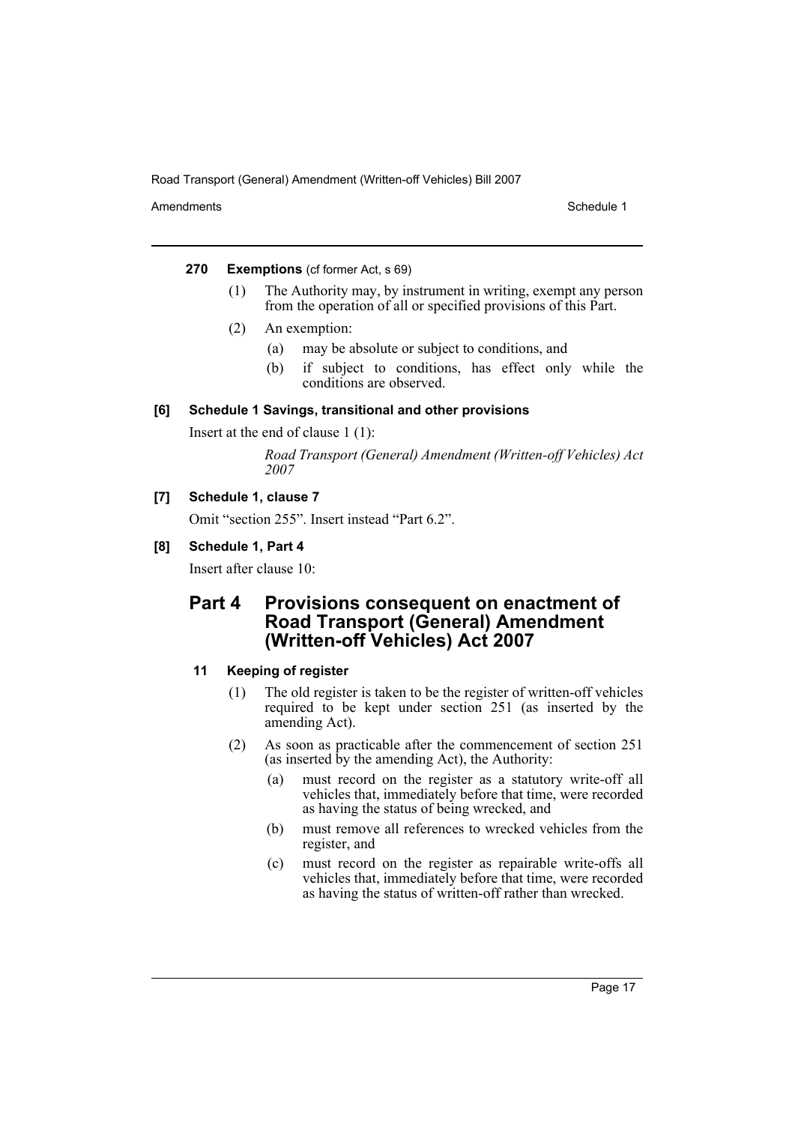Amendments **Amendments** Schedule 1

### **270 Exemptions** (cf former Act, s 69)

- (1) The Authority may, by instrument in writing, exempt any person from the operation of all or specified provisions of this Part.
- (2) An exemption:
	- (a) may be absolute or subject to conditions, and
	- (b) if subject to conditions, has effect only while the conditions are observed.

# **[6] Schedule 1 Savings, transitional and other provisions**

Insert at the end of clause 1 (1):

*Road Transport (General) Amendment (Written-off Vehicles) Act 2007*

# **[7] Schedule 1, clause 7**

Omit "section 255". Insert instead "Part 6.2".

# **[8] Schedule 1, Part 4**

Insert after clause 10:

# **Part 4 Provisions consequent on enactment of Road Transport (General) Amendment (Written-off Vehicles) Act 2007**

# **11 Keeping of register**

- (1) The old register is taken to be the register of written-off vehicles required to be kept under section 251 (as inserted by the amending Act).
- (2) As soon as practicable after the commencement of section 251 (as inserted by the amending Act), the Authority:
	- (a) must record on the register as a statutory write-off all vehicles that, immediately before that time, were recorded as having the status of being wrecked, and
	- (b) must remove all references to wrecked vehicles from the register, and
	- (c) must record on the register as repairable write-offs all vehicles that, immediately before that time, were recorded as having the status of written-off rather than wrecked.